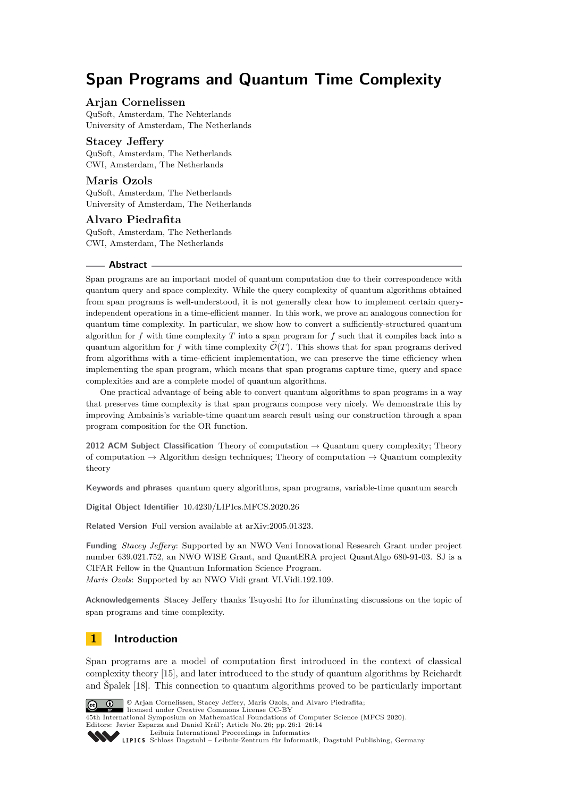# **Span Programs and Quantum Time Complexity**

# **Arjan Cornelissen**

QuSoft, Amsterdam, The Nehterlands University of Amsterdam, The Netherlands

## **Stacey Jeffery**

QuSoft, Amsterdam, The Netherlands CWI, Amsterdam, The Netherlands

# **Maris Ozols**

QuSoft, Amsterdam, The Netherlands University of Amsterdam, The Netherlands

#### **Alvaro Piedrafita**

QuSoft, Amsterdam, The Netherlands CWI, Amsterdam, The Netherlands

#### **Abstract**

Span programs are an important model of quantum computation due to their correspondence with quantum query and space complexity. While the query complexity of quantum algorithms obtained from span programs is well-understood, it is not generally clear how to implement certain queryindependent operations in a time-efficient manner. In this work, we prove an analogous connection for quantum time complexity. In particular, we show how to convert a sufficiently-structured quantum algorithm for *f* with time complexity *T* into a span program for *f* such that it compiles back into a quantum algorithm for f with time complexity  $\mathcal{O}(T)$ . This shows that for span programs derived from algorithms with a time-efficient implementation, we can preserve the time efficiency when implementing the span program, which means that span programs capture time, query and space complexities and are a complete model of quantum algorithms.

One practical advantage of being able to convert quantum algorithms to span programs in a way that preserves time complexity is that span programs compose very nicely. We demonstrate this by improving Ambainis's variable-time quantum search result using our construction through a span program composition for the OR function.

**2012 ACM Subject Classification** Theory of computation → Quantum query complexity; Theory of computation  $\rightarrow$  Algorithm design techniques; Theory of computation  $\rightarrow$  Quantum complexity theory

**Keywords and phrases** quantum query algorithms, span programs, variable-time quantum search

**Digital Object Identifier** [10.4230/LIPIcs.MFCS.2020.26](https://doi.org/10.4230/LIPIcs.MFCS.2020.26)

**Related Version** Full version available at [arXiv:2005.01323.](https://arxiv.org/abs/2005.01323)

**Funding** *Stacey Jeffery*: Supported by an NWO Veni Innovational Research Grant under project number 639.021.752, an NWO WISE Grant, and QuantERA project QuantAlgo 680-91-03. SJ is a CIFAR Fellow in the Quantum Information Science Program. *Maris Ozols*: Supported by an NWO Vidi grant VI.Vidi.192.109.

**Acknowledgements** Stacey Jeffery thanks Tsuyoshi Ito for illuminating discussions on the topic of span programs and time complexity.

# **1 Introduction**

Span programs are a model of computation first introduced in the context of classical complexity theory [\[15\]](#page-13-0), and later introduced to the study of quantum algorithms by Reichardt and Špalek [\[18\]](#page-13-1). This connection to quantum algorithms proved to be particularly important



© Arjan Cornelissen, Stacey Jeffery, Maris Ozols, and Alvaro Piedrafita; licensed under Creative Commons License CC-BY

45th International Symposium on Mathematical Foundations of Computer Science (MFCS 2020). Editors: Javier Esparza and Daniel Král'; Article No. 26; pp. 26:1–26[:14](#page-13-2)

[Leibniz International Proceedings in Informatics](https://www.dagstuhl.de/lipics/)

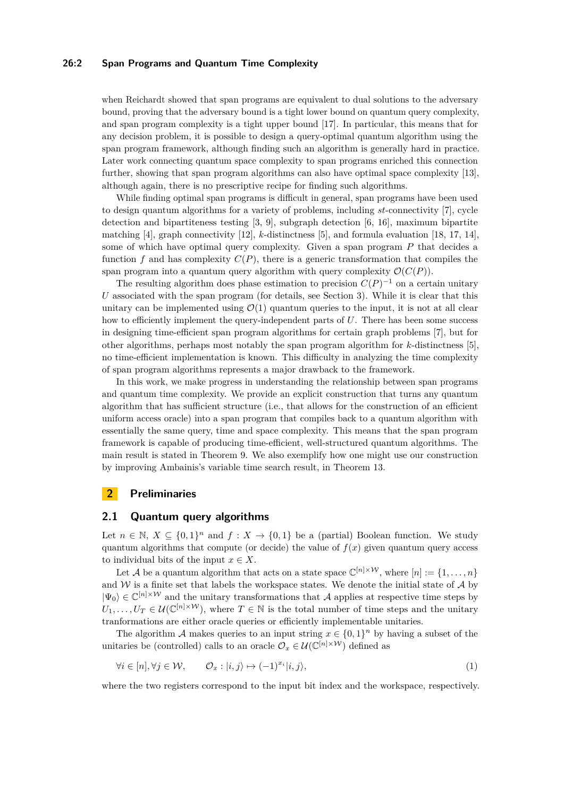#### **26:2 Span Programs and Quantum Time Complexity**

when Reichardt showed that span programs are equivalent to dual solutions to the adversary bound, proving that the adversary bound is a tight lower bound on quantum query complexity, and span program complexity is a tight upper bound [\[17\]](#page-13-3). In particular, this means that for any decision problem, it is possible to design a query-optimal quantum algorithm using the span program framework, although finding such an algorithm is generally hard in practice. Later work connecting quantum space complexity to span programs enriched this connection further, showing that span program algorithms can also have optimal space complexity [\[13\]](#page-12-0), although again, there is no prescriptive recipe for finding such algorithms.

While finding optimal span programs is difficult in general, span programs have been used to design quantum algorithms for a variety of problems, including *st*-connectivity [\[7\]](#page-12-1), cycle detection and bipartiteness testing [\[3,](#page-12-2) [9\]](#page-12-3), subgraph detection [\[6,](#page-12-4) [16\]](#page-13-4), maximum bipartite matching [\[4\]](#page-12-5), graph connectivity [\[12\]](#page-12-6), *k*-distinctness [\[5\]](#page-12-7), and formula evaluation [\[18,](#page-13-1) [17,](#page-13-3) [14\]](#page-12-8), some of which have optimal query complexity. Given a span program *P* that decides a function  $f$  and has complexity  $C(P)$ , there is a generic transformation that compiles the span program into a quantum query algorithm with query complexity  $\mathcal{O}(C(P)).$ 

The resulting algorithm does phase estimation to precision  $C(P)^{-1}$  on a certain unitary *U* associated with the span program (for details, see Section [3\)](#page-4-0). While it is clear that this unitary can be implemented using  $\mathcal{O}(1)$  quantum queries to the input, it is not at all clear how to efficiently implement the query-independent parts of *U*. There has been some success in designing time-efficient span program algorithms for certain graph problems [\[7\]](#page-12-1), but for other algorithms, perhaps most notably the span program algorithm for *k*-distinctness [\[5\]](#page-12-7), no time-efficient implementation is known. This difficulty in analyzing the time complexity of span program algorithms represents a major drawback to the framework.

In this work, we make progress in understanding the relationship between span programs and quantum time complexity. We provide an explicit construction that turns any quantum algorithm that has sufficient structure (i.e., that allows for the construction of an efficient uniform access oracle) into a span program that compiles back to a quantum algorithm with essentially the same query, time and space complexity. This means that the span program framework is capable of producing time-efficient, well-structured quantum algorithms. The main result is stated in Theorem [9.](#page-8-0) We also exemplify how one might use our construction by improving Ambainis's variable time search result, in Theorem [13.](#page-10-0)

# **2 Preliminaries**

## <span id="page-1-0"></span>**2.1 Quantum query algorithms**

Let  $n \in \mathbb{N}, X \subseteq \{0,1\}^n$  and  $f: X \to \{0,1\}$  be a (partial) Boolean function. We study quantum algorithms that compute (or decide) the value of  $f(x)$  given quantum query access to individual bits of the input  $x \in X$ .

Let A be a quantum algorithm that acts on a state space  $\mathbb{C}^{[n] \times W}$ , where  $[n] := \{1, \ldots, n\}$ and  $W$  is a finite set that labels the workspace states. We denote the initial state of  $A$  by  $|\Psi_0\rangle \in \mathbb{C}^{[n] \times W}$  and the unitary transformations that A applies at respective time steps by  $U_1, \ldots, U_T \in \mathcal{U}(\mathbb{C}^{[n]\times W})$ , where  $T \in \mathbb{N}$  is the total number of time steps and the unitary tranformations are either oracle queries or efficiently implementable unitaries.

The algorithm A makes queries to an input string  $x \in \{0,1\}^n$  by having a subset of the unitaries be (controlled) calls to an oracle  $\mathcal{O}_x \in \mathcal{U}(\mathbb{C}^{[n] \times \mathcal{W}})$  defined as

$$
\forall i \in [n], \forall j \in \mathcal{W}, \qquad \mathcal{O}_x : |i, j\rangle \mapsto (-1)^{x_i} |i, j\rangle,\tag{1}
$$

where the two registers correspond to the input bit index and the workspace, respectively.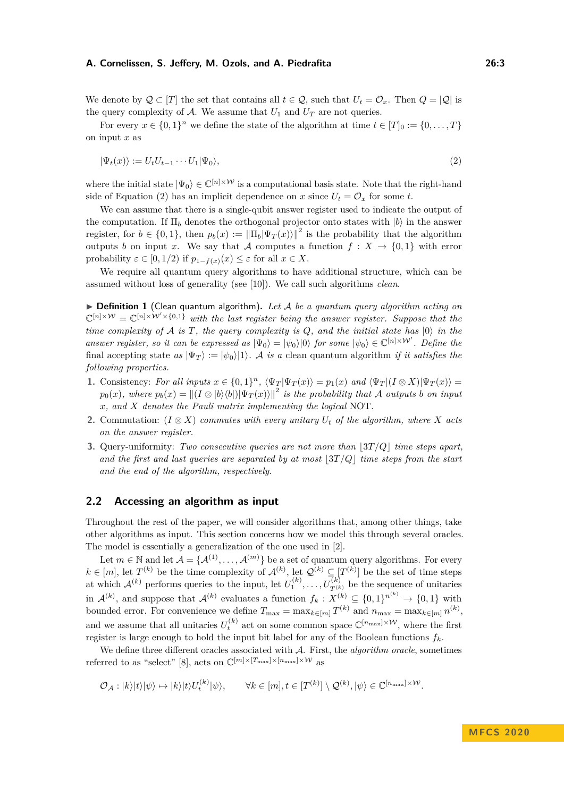We denote by  $Q \subset [T]$  the set that contains all  $t \in Q$ , such that  $U_t = \mathcal{O}_x$ . Then  $Q = |Q|$  is the query complexity of  $A$ . We assume that  $U_1$  and  $U_T$  are not queries.

For every  $x \in \{0,1\}^n$  we define the state of the algorithm at time  $t \in [T]_0 := \{0,\ldots,T\}$ on input *x* as

<span id="page-2-0"></span>
$$
|\Psi_t(x)\rangle := U_t U_{t-1} \cdots U_1 |\Psi_0\rangle,\tag{2}
$$

where the initial state  $|\Psi_0\rangle \in \mathbb{C}^{[n] \times W}$  is a computational basis state. Note that the right-hand side of Equation [\(2\)](#page-2-0) has an implicit dependence on *x* since  $U_t = \mathcal{O}_x$  for some *t*.

We can assume that there is a single-qubit answer register used to indicate the output of the computation. If  $\Pi_b$  denotes the orthogonal projector onto states with  $|b\rangle$  in the answer register, for  $b \in \{0,1\}$ , then  $p_b(x) := ||\Pi_b|\Psi_T(x)||^2$  is the probability that the algorithm outputs *b* on input *x*. We say that A computes a function  $f: X \to \{0,1\}$  with error probability  $\varepsilon \in [0, 1/2)$  if  $p_{1-f(x)}(x) \leq \varepsilon$  for all  $x \in X$ .

We require all quantum query algorithms to have additional structure, which can be assumed without loss of generality (see [\[10\]](#page-12-9)). We call such algorithms *clean*.

<span id="page-2-1"></span>▶ **Definition 1** (Clean quantum algorithm). Let A be a quantum query algorithm acting on  $\mathbb{C}^{[n] \times \mathcal{W}} = \mathbb{C}^{[n] \times \mathcal{W}' \times \{0,1\}}$  *with the last register being the answer register. Suppose that the time complexity of*  $\mathcal A$  *is*  $T$ *, the query complexity is*  $Q$ *, and the initial state has*  $|0\rangle$  *in the answer register, so it can be expressed as*  $|\Psi_0\rangle = |\psi_0\rangle|0\rangle$  *for some*  $|\psi_0\rangle \in \mathbb{C}^{[n] \times W'}$ . Define the final accepting state  $as |\Psi_T\rangle := |\psi_0\rangle|1\rangle$ . A *is a* clean quantum algorithm *if it satisfies the following properties.*

- **1.** Consistency: For all inputs  $x \in \{0,1\}^n$ ,  $\langle \Psi_T | \Psi_T(x) \rangle = p_1(x)$  and  $\langle \Psi_T | (I \otimes X) | \Psi_T(x) \rangle =$  $p_0(x)$ , where  $p_b(x) = ||(I \otimes |b\rangle\langle b|) |\Psi_T(x)\rangle||^2$  is the probability that A outputs *b* on input *x, and X denotes the Pauli matrix implementing the logical* NOT*.*
- **2.** Commutation:  $(I \otimes X)$  *commutes with every unitary*  $U_t$  *of the algorithm, where X acts on the answer register.*
- **3.** Query-uniformity: *Two consecutive queries are not more than*  $|3T/Q|$  *time steps apart, and the first and last queries are separated by at most*  $3T/Q$  *time steps from the start and the end of the algorithm, respectively.*

## <span id="page-2-2"></span>**2.2 Accessing an algorithm as input**

Throughout the rest of the paper, we will consider algorithms that, among other things, take other algorithms as input. This section concerns how we model this through several oracles. The model is essentially a generalization of the one used in [\[2\]](#page-12-10).

Let  $m \in \mathbb{N}$  and let  $\mathcal{A} = \{ \mathcal{A}^{(1)}, \ldots, \mathcal{A}^{(m)} \}$  be a set of quantum query algorithms. For every *k* ∈ [*m*], let *T*<sup>(*k*)</sup> be the time complexity of  $\mathcal{A}^{(k)}$ , let  $\mathcal{Q}^{(k)} \subseteq [T^{(k)}]$  be the set of time steps at which  $\mathcal{A}^{(k)}$  performs queries to the input, let  $U_1^{(k)}, \ldots, U_{T^{(k)}}^{(k)}$  be the sequence of unitaries in  $\mathcal{A}^{(k)}$ , and suppose that  $\mathcal{A}^{(k)}$  evaluates a function  $f_k: X^{(k)} \subseteq \{0,1\}^{n^{(k)}} \to \{0,1\}$  with bounded error. For convenience we define  $T_{\text{max}} = \max_{k \in [m]} T^{(k)}$  and  $n_{\text{max}} = \max_{k \in [m]} n^{(k)}$ , and we assume that all unitaries  $U_t^{(k)}$  act on some common space  $\mathbb{C}^{[n_{\max}]\times \mathcal{W}}$ , where the first register is large enough to hold the input bit label for any of the Boolean functions  $f_k$ .

We define three different oracles associated with A. First, the *algorithm oracle*, sometimes referred to as "select" [\[8\]](#page-12-11), acts on  $\mathbb{C}^{[m] \times [T_{\max}] \times [n_{\max}] \times W}$  as

$$
\mathcal{O}_{\mathcal{A}} : |k\rangle |t\rangle |\psi\rangle \mapsto |k\rangle |t\rangle U_t^{(k)} |\psi\rangle, \qquad \forall k \in [m], t \in [T^{(k)}] \setminus \mathcal{Q}^{(k)}, |\psi\rangle \in \mathbb{C}^{[n_{\max}]\times \mathcal{W}}.
$$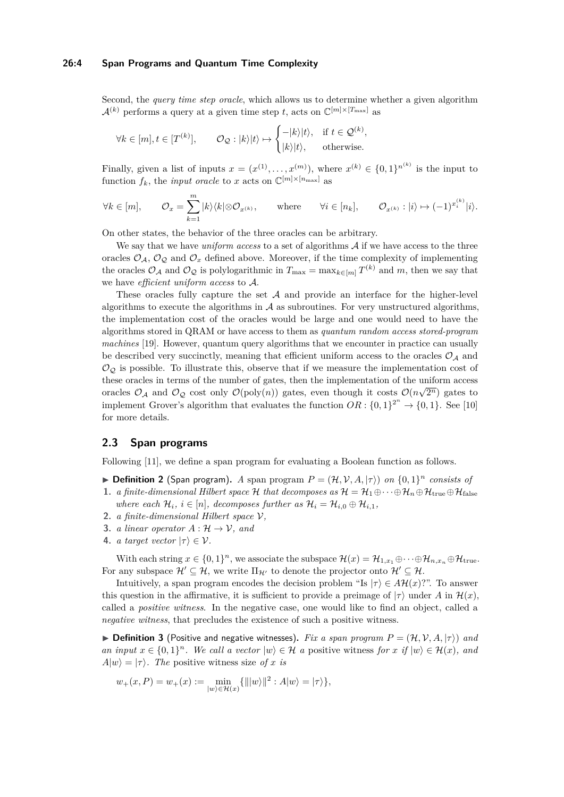#### **26:4 Span Programs and Quantum Time Complexity**

Second, the *query time step oracle*, which allows us to determine whether a given algorithm  $\mathcal{A}^{(k)}$  performs a query at a given time step *t*, acts on  $\mathbb{C}^{[m] \times [T_{\max}]}$  as

$$
\forall k \in [m], t \in [T^{(k)}], \qquad \mathcal{O}_{\mathcal{Q}} : |k\rangle |t\rangle \mapsto \begin{cases} -|k\rangle |t\rangle, & \text{if } t \in \mathcal{Q}^{(k)},\\ |k\rangle |t\rangle, & \text{otherwise.} \end{cases}
$$

Finally, given a list of inputs  $x = (x^{(1)}, \ldots, x^{(m)})$ , where  $x^{(k)} \in \{0,1\}^{n^{(k)}}$  is the input to function  $f_k$ , the *input oracle* to *x* acts on  $\mathbb{C}^{[m] \times [n_{\max}]}$  as

$$
\forall k \in [m], \qquad \mathcal{O}_x = \sum_{k=1}^m |k\rangle\langle k| \otimes \mathcal{O}_{x^{(k)}}, \qquad \text{where} \qquad \forall i \in [n_k], \qquad \mathcal{O}_{x^{(k)}} : |i\rangle \mapsto (-1)^{x_i^{(k)}} |i\rangle.
$$

On other states, the behavior of the three oracles can be arbitrary.

We say that we have *uniform access* to a set of algorithms  $A$  if we have access to the three oracles  $\mathcal{O}_\mathcal{A}, \mathcal{O}_\mathcal{Q}$  and  $\mathcal{O}_x$  defined above. Moreover, if the time complexity of implementing the oracles  $\mathcal{O}_{\mathcal{A}}$  and  $\mathcal{O}_{\mathcal{Q}}$  is polylogarithmic in  $T_{\max} = \max_{k \in [m]} T^{(k)}$  and m, then we say that we have *efficient uniform access* to A.

These oracles fully capture the set  $A$  and provide an interface for the higher-level algorithms to execute the algorithms in  $A$  as subroutines. For very unstructured algorithms, the implementation cost of the oracles would be large and one would need to have the algorithms stored in QRAM or have access to them as *quantum random access stored-program machines* [\[19\]](#page-13-5). However, quantum query algorithms that we encounter in practice can usually be described very succinctly, meaning that efficient uniform access to the oracles  $\mathcal{O}_A$  and  $\mathcal{O}_\mathcal{O}$  is possible. To illustrate this, observe that if we measure the implementation cost of these oracles in terms of the number of gates, then the implementation of the uniform access oracles  $\mathcal{O}_\mathcal{A}$  and  $\mathcal{O}_\mathcal{Q}$  cost only  $\mathcal{O}(\text{poly}(n))$  gates, even though it costs  $\mathcal{O}(n\sqrt{2^n})$  gates to implement Grover's algorithm that evaluates the function  $OR: \{0,1\}^{2^n} \to \{0,1\}$ . See [\[10\]](#page-12-9) for more details.

## **2.3 Span programs**

Following [\[11\]](#page-12-12), we define a span program for evaluating a Boolean function as follows.

- **Definition 2** (Span program). *A* span program  $P = (\mathcal{H}, \mathcal{V}, A, |\tau\rangle)$  *on*  $\{0, 1\}^n$  *consists of*
- **1.** *a finite-dimensional Hilbert space* H *that decomposes as*  $H = H_1 \oplus \cdots \oplus H_n \oplus H_{true} \oplus H_{false}$ *where each*  $\mathcal{H}_i$ ,  $i \in [n]$ , decomposes further as  $\mathcal{H}_i = \mathcal{H}_{i} \oplus \mathcal{H}_{i}$ ,
- **2.** *a finite-dimensional Hilbert space* V*,*
- **3.** *a linear operator*  $A: \mathcal{H} \to \mathcal{V}$ , and
- **4.** *a target vector*  $|\tau\rangle \in \mathcal{V}$ *.*

With each string  $x \in \{0,1\}^n$ , we associate the subspace  $\mathcal{H}(x) = \mathcal{H}_{1,x_1} \oplus \cdots \oplus \mathcal{H}_{n,x_n} \oplus \mathcal{H}_{\text{true}}$ . For any subspace  $\mathcal{H}' \subseteq \mathcal{H}$ , we write  $\Pi_{\mathcal{H}'}$  to denote the projector onto  $\mathcal{H}' \subseteq \mathcal{H}$ .

Intuitively, a span program encodes the decision problem "Is  $|\tau\rangle \in A\mathcal{H}(x)$ ?". To answer this question in the affirmative, it is sufficient to provide a preimage of  $|\tau\rangle$  under *A* in  $\mathcal{H}(x)$ , called a *positive witness*. In the negative case, one would like to find an object, called a *negative witness*, that precludes the existence of such a positive witness.

 $\blacktriangleright$  **Definition 3** (Positive and negative witnesses). *Fix a span program*  $P = (\mathcal{H}, \mathcal{V}, A, |\tau)$  *and an input*  $x \in \{0,1\}^n$ *. We call a vector*  $|w\rangle \in \mathcal{H}$  *a* positive witness *for x if*  $|w\rangle \in \mathcal{H}(x)$ *, and*  $A|w\rangle = |\tau\rangle$ *. The* positive witness size *of x is* 

$$
w_+(x,P)=w_+(x):=\min_{|w\rangle\in\mathcal{H}(x)}\{\||w\rangle\|^2:A|w\rangle=|\tau\rangle\},
$$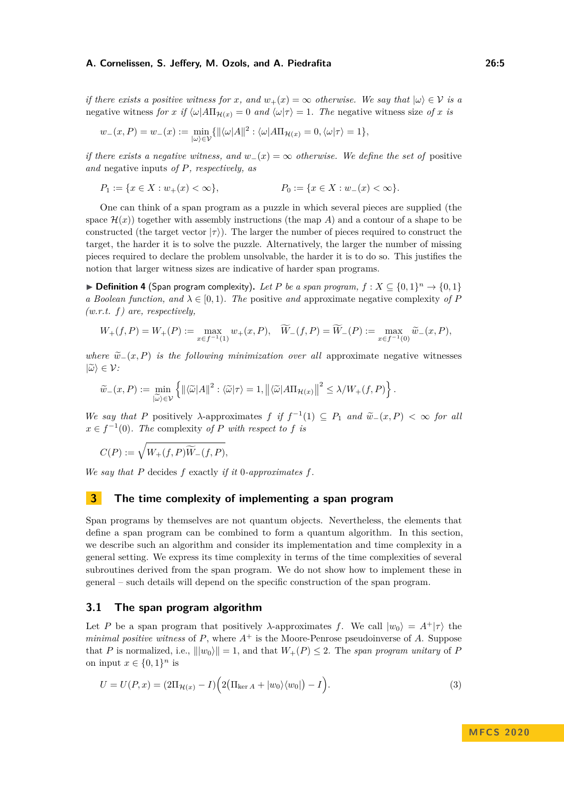*if there exists a positive witness for x, and*  $w_+(x) = \infty$  *otherwise. We say that*  $|\omega\rangle \in \mathcal{V}$  *is a* negative witness *for x if*  $\langle \omega | A \Pi_{\mathcal{H}(x)} \rangle = 0$  *and*  $\langle \omega | \tau \rangle = 1$ *. The* negative witness size *of x is* 

$$
w_{-}(x,P) = w_{-}(x) := \min_{|\omega\rangle \in \mathcal{V}} \{ ||\langle \omega | A||^{2} : \langle \omega | A\Pi_{\mathcal{H}(x)} = 0, \langle \omega | \tau \rangle = 1 \},\
$$

*if there exists a negative witness, and*  $w_-(x) = \infty$  *otherwise. We define the set of* positive *and* negative inputs *of P, respectively, as*

$$
P_1 := \{ x \in X : w_+(x) < \infty \}, \qquad \qquad P_0 := \{ x \in X : w_-(x) < \infty \}.
$$

One can think of a span program as a puzzle in which several pieces are supplied (the space  $\mathcal{H}(x)$ ) together with assembly instructions (the map A) and a contour of a shape to be constructed (the target vector  $|\tau\rangle$ ). The larger the number of pieces required to construct the target, the harder it is to solve the puzzle. Alternatively, the larger the number of missing pieces required to declare the problem unsolvable, the harder it is to do so. This justifies the notion that larger witness sizes are indicative of harder span programs.

▶ **Definition 4** (Span program complexity). Let P be a span program,  $f : X \subseteq \{0,1\}^n \rightarrow \{0,1\}$ *a Boolean function, and*  $\lambda \in [0, 1)$ *. The* positive *and* approximate negative complexity of P *(w.r.t. f) are, respectively,*

$$
W_+(f,P) = W_+(P) := \max_{x \in f^{-1}(1)} w_+(x,P), \quad \widetilde{W}_-(f,P) = \widetilde{W}_-(P) := \max_{x \in f^{-1}(0)} \widetilde{w}_-(x,P),
$$

*where*  $\tilde{w}_-(x, P)$  *is the following minimization over all* approximate negative witnesses  $|\widetilde{\omega}\rangle \in \mathcal{V}$ *:* 

$$
\widetilde{w}_{-}(x,P) := \min_{|\widetilde{\omega}\rangle \in \mathcal{V}} \left\{ \left\| \langle \widetilde{\omega} | A \right\|^2 : \langle \widetilde{\omega} | \tau \rangle = 1, \left\| \langle \widetilde{\omega} | A \Pi_{\mathcal{H}(x)} \right\|^2 \le \lambda / W_+(f,P) \right\}.
$$

*We say that P* positively  $\lambda$ -approximates  $f$  *if*  $f^{-1}(1) \subseteq P_1$  *and*  $\tilde{w}_-(x, P) < \infty$  *for all*  $\tilde{w}_-(x, P) < \infty$  *for all*  $x \in f^{-1}(0)$ *. The* complexity *of P with respect to f is* 

$$
C(P) := \sqrt{W_+(f,P)\widetilde{W}_-(f,P)},
$$

*We say that P* decides *f* exactly *if it* 0*-approximates f.*

## <span id="page-4-0"></span>**3 The time complexity of implementing a span program**

Span programs by themselves are not quantum objects. Nevertheless, the elements that define a span program can be combined to form a quantum algorithm. In this section, we describe such an algorithm and consider its implementation and time complexity in a general setting. We express its time complexity in terms of the time complexities of several subroutines derived from the span program. We do not show how to implement these in general – such details will depend on the specific construction of the span program.

## **3.1 The span program algorithm**

Let *P* be a span program that positively  $\lambda$ -approximates *f*. We call  $|w_0\rangle = A^+|\tau\rangle$  the *minimal positive witness* of  $P$ , where  $A^+$  is the Moore-Penrose pseudoinverse of  $A$ . Suppose that *P* is normalized, i.e.,  $\| |w_0\rangle \| = 1$ , and that  $W_+(P) \leq 2$ . The *span program unitary* of *P* on input  $x \in \{0,1\}^n$  is

$$
U = U(P, x) = (2\Pi_{\mathcal{H}(x)} - I)\left(2\left(\Pi_{\ker A} + |w_0\rangle\langle w_0|\right) - I\right). \tag{3}
$$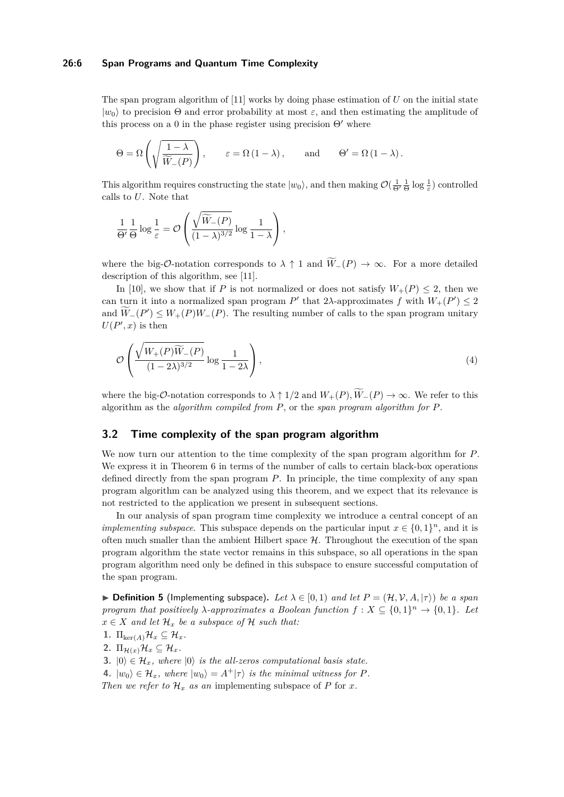#### **26:6 Span Programs and Quantum Time Complexity**

The span program algorithm of [\[11\]](#page-12-12) works by doing phase estimation of *U* on the initial state  $|w_0\rangle$  to precision  $\Theta$  and error probability at most  $\varepsilon$ , and then estimating the amplitude of this process on a 0 in the phase register using precision  $\Theta'$  where

$$
\Theta = \Omega \left( \sqrt{\frac{1 - \lambda}{\widetilde{W}_-(P)}} \right), \qquad \varepsilon = \Omega \left( 1 - \lambda \right), \qquad \text{and} \qquad \Theta' = \Omega \left( 1 - \lambda \right).
$$

This algorithm requires constructing the state  $|w_0\rangle$ , and then making  $\mathcal{O}(\frac{1}{\Theta'} \frac{1}{\Theta} \log \frac{1}{\varepsilon})$  controlled calls to *U*. Note that

$$
\frac{1}{\Theta'} \frac{1}{\Theta} \log \frac{1}{\varepsilon} = \mathcal{O}\left(\frac{\sqrt{\widetilde{W}_{-}(P)}}{(1-\lambda)^{3/2}} \log \frac{1}{1-\lambda}\right),\,
$$

where the big- $\mathcal{O}\text{-notation corresponds to }\lambda \uparrow 1$  and  $\widetilde{W}_-(P) \to \infty$ . For a more detailed description of this algorithm, see [\[11\]](#page-12-12).

In [\[10\]](#page-12-9), we show that if *P* is not normalized or does not satisfy  $W_+(P) \leq 2$ , then we can turn it into a normalized span program  $P'$  that 2 $\lambda$ -approximates  $f$  with  $W_+(P') \leq 2$ and  $\widetilde{W}_-(P') \leq W_+(P)W_-(P)$ . The resulting number of calls to the span program unitary  $U(P',x)$  is then

$$
\mathcal{O}\left(\frac{\sqrt{W_{+}(P)\widetilde{W}_{-}(P)}}{(1-2\lambda)^{3/2}}\log\frac{1}{1-2\lambda}\right),\tag{4}
$$

where the big- $\mathcal{O}\text{-}$ notation corresponds to  $\lambda \uparrow 1/2$  and  $W_+(P), \widetilde{W}_-(P) \to \infty$ . We refer to this algorithm as the *algorithm compiled from P*, or the *span program algorithm for P*.

## **3.2 Time complexity of the span program algorithm**

We now turn our attention to the time complexity of the span program algorithm for *P*. We express it in Theorem [6](#page-6-0) in terms of the number of calls to certain black-box operations defined directly from the span program *P*. In principle, the time complexity of any span program algorithm can be analyzed using this theorem, and we expect that its relevance is not restricted to the application we present in subsequent sections.

In our analysis of span program time complexity we introduce a central concept of an *implementing subspace*. This subspace depends on the particular input  $x \in \{0,1\}^n$ , and it is often much smaller than the ambient Hilbert space  $H$ . Throughout the execution of the span program algorithm the state vector remains in this subspace, so all operations in the span program algorithm need only be defined in this subspace to ensure successful computation of the span program.

 $\blacktriangleright$  **Definition 5** (Implementing subspace). Let  $\lambda \in [0,1)$  and let  $P = (\mathcal{H}, \mathcal{V}, A, |\tau)$  be a span *program that positively*  $\lambda$ -*approximates a Boolean function*  $f: X \subseteq \{0,1\}^n \to \{0,1\}$ *. Let*  $x \in X$  *and let*  $\mathcal{H}_x$  *be a subspace of*  $\mathcal{H}$  *such that:* 

- 1.  $\Pi_{\ker(A)}\mathcal{H}_x \subseteq \mathcal{H}_x$
- 2.  $\Pi_{\mathcal{H}(x)}\mathcal{H}_x \subseteq \mathcal{H}_x$ .
- **3.**  $|0\rangle \in \mathcal{H}_x$ , where  $|0\rangle$  *is the all-zeros computational basis state.*
- **4.**  $|w_0\rangle \in \mathcal{H}_x$ , where  $|w_0\rangle = A^+|\tau\rangle$  is the minimal witness for P.

*Then we refer to*  $\mathcal{H}_x$  *as an* implementing subspace of *P* for *x.*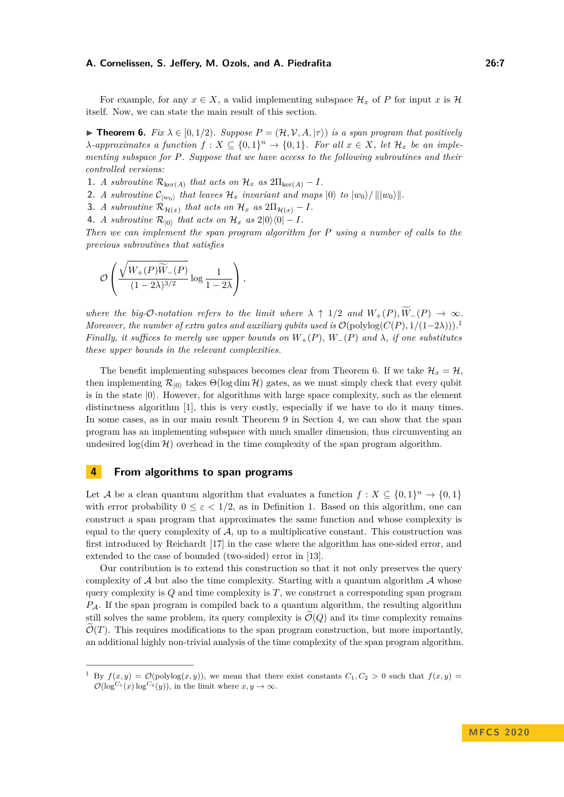For example, for any  $x \in X$ , a valid implementing subspace  $\mathcal{H}_x$  of P for input x is H itself. Now, we can state the main result of this section.

<span id="page-6-0"></span>**► Theorem 6.** *Fix*  $\lambda \in [0, 1/2)$ *. Suppose*  $P = (\mathcal{H}, \mathcal{V}, A, |\tau\rangle)$  *is a span program that positively λ-approximates a function*  $f: X \subseteq \{0,1\}^n \to \{0,1\}$ *. For all*  $x \in X$ *, let*  $\mathcal{H}_x$  *be an implementing subspace for P. Suppose that we have access to the following subroutines and their controlled versions:*

**1.** *A subroutine*  $\mathcal{R}_{\text{ker}(A)}$  *that acts on*  $\mathcal{H}_x$  *as*  $2\Pi_{\text{ker}(A)} - I$ *.* 

**2.** *A subroutine*  $C_{|w_0\rangle}$  *that leaves*  $\mathcal{H}_x$  *invariant and maps*  $|0\rangle$  *to*  $|w_0\rangle / ||w_0\rangle||$ .

- **3.** *A subroutine*  $\mathcal{R}_{\mathcal{H}(x)}$  *that acts on*  $\mathcal{H}_x$  *as*  $2\Pi_{\mathcal{H}(x)} I$ *.*
- **4.** *A subroutine*  $\mathcal{R}_{|0\rangle}$  *that acts on*  $\mathcal{H}_x$  *as*  $2|0\rangle\langle0| I$ *.*

*Then we can implement the span program algorithm for P using a number of calls to the previous subroutines that satisfies*

$$
\mathcal{O}\left(\frac{\sqrt{W_+(P)\widetilde{W}_-(P)}}{(1-2\lambda)^{3/2}}\log\frac{1}{1-2\lambda}\right),\,
$$

*where the big-O-notation refers to the limit where*  $\lambda \uparrow 1/2$  *and*  $W_+(P), \widetilde{W}_-(P) \to \infty$ . *Moreover, the number of extra gates and auxiliary qubits used is*  $\mathcal{O}(\text{polylog}(C(P), 1/(1-2\lambda)))$  $\mathcal{O}(\text{polylog}(C(P), 1/(1-2\lambda)))$  $\mathcal{O}(\text{polylog}(C(P), 1/(1-2\lambda)))$ . *Finally, it suffices to merely use upper bounds on*  $W_+(P)$ ,  $W_-(P)$  and  $\lambda$ , *if one substitutes these upper bounds in the relevant complexities.*

The benefit implementing subspaces becomes clear from Theorem [6.](#page-6-0) If we take  $\mathcal{H}_x = \mathcal{H}$ . then implementing  $\mathcal{R}_{|0\rangle}$  takes  $\Theta(\log \dim \mathcal{H})$  gates, as we must simply check that every qubit is in the state  $|0\rangle$ . However, for algorithms with large space complexity, such as the element distinctness algorithm [\[1\]](#page-12-13), this is very costly, especially if we have to do it many times. In some cases, as in our main result Theorem [9](#page-8-0) in Section [4,](#page-6-2) we can show that the span program has an implementing subspace with much smaller dimension, thus circumventing an undesired  $\log(\dim \mathcal{H})$  overhead in the time complexity of the span program algorithm.

# <span id="page-6-2"></span>**4 From algorithms to span programs**

Let A be a clean quantum algorithm that evaluates a function  $f: X \subseteq \{0,1\}^n \to \{0,1\}$ with error probability  $0 \leq \varepsilon \leq 1/2$ , as in Definition [1.](#page-2-1) Based on this algorithm, one can construct a span program that approximates the same function and whose complexity is equal to the query complexity of  $A$ , up to a multiplicative constant. This construction was first introduced by Reichardt [\[17\]](#page-13-3) in the case where the algorithm has one-sided error, and extended to the case of bounded (two-sided) error in [\[13\]](#page-12-0).

Our contribution is to extend this construction so that it not only preserves the query complexity of  $A$  but also the time complexity. Starting with a quantum algorithm  $A$  whose query complexity is *Q* and time complexity is *T*, we construct a corresponding span program *P*A. If the span program is compiled back to a quantum algorithm, the resulting algorithm still solves the same problem, its query complexity is  $\widetilde{\mathcal{O}}(Q)$  and its time complexity remains  $\mathcal{O}(T)$ . This requires modifications to the span program construction, but more importantly, an additional highly non-trivial analysis of the time complexity of the span program algorithm.

<span id="page-6-1"></span>By  $f(x, y) = \mathcal{O}(\text{polylog}(x, y))$ , we mean that there exist constants  $C_1, C_2 > 0$  such that  $f(x, y) =$  $\mathcal{O}(\log^{C_1}(x) \log^{C_2}(y))$ , in the limit where  $x, y \to \infty$ .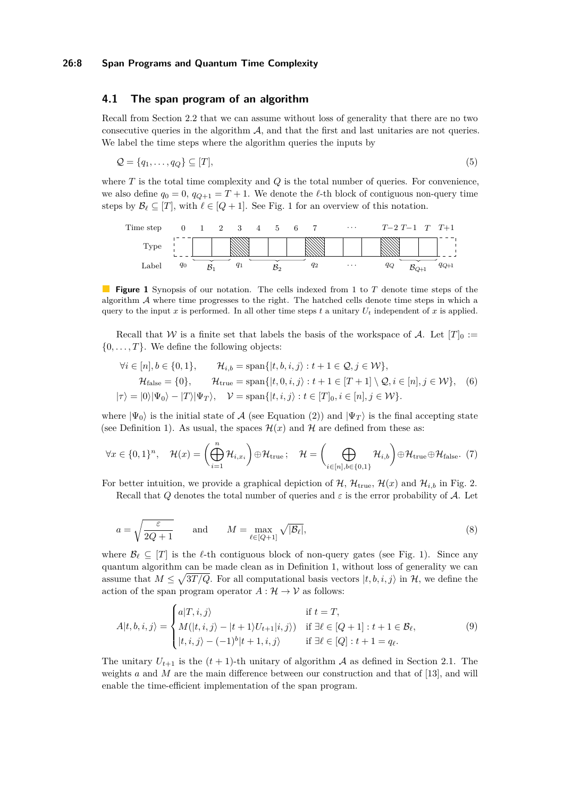## <span id="page-7-5"></span>**4.1 The span program of an algorithm**

Recall from Section [2.2](#page-2-2) that we can assume without loss of generality that there are no two consecutive queries in the algorithm  $A$ , and that the first and last unitaries are not queries. We label the time steps where the algorithm queries the inputs by

$$
\mathcal{Q} = \{q_1, \dots, q_Q\} \subseteq [T],\tag{5}
$$

where *T* is the total time complexity and *Q* is the total number of queries. For convenience, we also define  $q_0 = 0$ ,  $q_{Q+1} = T + 1$ . We denote the  $\ell$ -th block of contiguous non-query time steps by  $\mathcal{B}_\ell \subseteq [T]$ , with  $\ell \in [Q + 1]$  $\ell \in [Q + 1]$  $\ell \in [Q + 1]$ . See Fig. 1 for an overview of this notation.

<span id="page-7-0"></span>

**Figure 1** Synopsis of our notation. The cells indexed from 1 to *T* denote time steps of the algorithm  $A$  where time progresses to the right. The hatched cells denote time steps in which a query to the input *x* is performed. In all other time steps *t* a unitary  $U_t$  independent of *x* is applied.

Recall that W is a finite set that labels the basis of the workspace of A. Let  $[T]_0 :=$  $\{0, \ldots, T\}$ . We define the following objects:

<span id="page-7-2"></span><span id="page-7-1"></span>
$$
\forall i \in [n], b \in \{0, 1\}, \qquad \mathcal{H}_{i,b} = \text{span}\{|t, b, i, j\rangle : t + 1 \in \mathcal{Q}, j \in \mathcal{W}\},
$$
  

$$
\mathcal{H}_{\text{false}} = \{0\}, \qquad \mathcal{H}_{\text{true}} = \text{span}\{|t, 0, i, j\rangle : t + 1 \in [T + 1] \setminus \mathcal{Q}, i \in [n], j \in \mathcal{W}\}, \quad (6)
$$
  

$$
|\tau\rangle = |0\rangle |\Psi_0\rangle - |T\rangle |\Psi_T\rangle, \quad \mathcal{V} = \text{span}\{|t, i, j\rangle : t \in [T]_0, i \in [n], j \in \mathcal{W}\}.
$$

where  $|\Psi_0\rangle$  is the initial state of A (see Equation [\(2\)](#page-2-0)) and  $|\Psi_T\rangle$  is the final accepting state (see Definition [1\)](#page-2-1). As usual, the spaces  $\mathcal{H}(x)$  and  $\mathcal{H}$  are defined from these as:

$$
\forall x \in \{0,1\}^n, \quad \mathcal{H}(x) = \left(\bigoplus_{i=1}^n \mathcal{H}_{i,x_i}\right) \oplus \mathcal{H}_{\text{true}}; \quad \mathcal{H} = \left(\bigoplus_{i \in [n], b \in \{0,1\}} \mathcal{H}_{i,b}\right) \oplus \mathcal{H}_{\text{true}} \oplus \mathcal{H}_{\text{false}}.
$$
 (7)

For better intuition, we provide a graphical depiction of  $H$ ,  $H_{true}$ ,  $H(x)$  and  $H_{i,b}$  in Fig. [2.](#page-8-1) Recall that *Q* denotes the total number of queries and  $\varepsilon$  is the error probability of A. Let

$$
a = \sqrt{\frac{\varepsilon}{2Q + 1}} \quad \text{and} \quad M = \max_{\ell \in [Q+1]} \sqrt{|\mathcal{B}_{\ell}|},\tag{8}
$$

where  $\mathcal{B}_{\ell} \subseteq [T]$  is the  $\ell$ -th contiguous block of non-query gates (see Fig. [1\)](#page-7-0). Since any quantum algorithm can be made clean as in Definition [1,](#page-2-1) without loss of generality we can assume that  $M \leq \sqrt{3T/Q}$ . For all computational basis vectors  $|t, b, i, j\rangle$  in H, we define the action of the span program operator  $A: \mathcal{H} \to \mathcal{V}$  as follows:

<span id="page-7-3"></span>
$$
A|t, b, i, j\rangle = \begin{cases} a|T, i, j\rangle & \text{if } t = T, \\ M(|t, i, j\rangle - |t + 1\rangle U_{t+1}|i, j\rangle) & \text{if } \exists \ell \in [Q+1] : t + 1 \in \mathcal{B}_{\ell}, \\ |t, i, j\rangle - (-1)^{b}|t + 1, i, j\rangle & \text{if } \exists \ell \in [Q] : t + 1 = q_{\ell}. \end{cases}
$$
(9)

<span id="page-7-4"></span>The unitary  $U_{t+1}$  is the  $(t+1)$ -th unitary of algorithm A as defined in Section [2.1.](#page-1-0) The weights *a* and *M* are the main difference between our construction and that of [\[13\]](#page-12-0), and will enable the time-efficient implementation of the span program.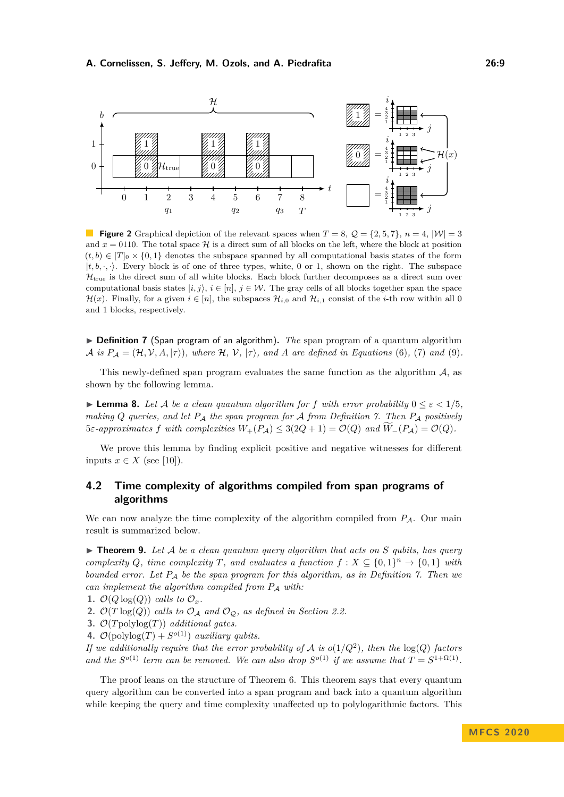<span id="page-8-1"></span>

**Figure 2** Graphical depiction of the relevant spaces when  $T = 8$ ,  $Q = \{2, 5, 7\}$ ,  $n = 4$ ,  $|W| = 3$ and  $x = 0110$ . The total space H is a direct sum of all blocks on the left, where the block at position  $(t, b) \in [T]_0 \times \{0, 1\}$  denotes the subspace spanned by all computational basis states of the form  $|t, b, \cdot, \cdot\rangle$ . Every block is of one of three types, white, 0 or 1, shown on the right. The subspace  $\mathcal{H}_{\text{true}}$  is the direct sum of all white blocks. Each block further decomposes as a direct sum over computational basis states  $|i, j\rangle$ ,  $i \in [n]$ ,  $j \in \mathcal{W}$ . The gray cells of all blocks together span the space  $\mathcal{H}(x)$ . Finally, for a given  $i \in [n]$ , the subspaces  $\mathcal{H}_{i,0}$  and  $\mathcal{H}_{i,1}$  consist of the *i*-th row within all 0 and 1 blocks, respectively.

▶ **Definition 7** (Span program of an algorithm). *The* span program of a quantum algorithm  $\mathcal{A}$  *is*  $P_{\mathcal{A}} = (\mathcal{H}, \mathcal{V}, A, |\tau\rangle)$ *, where*  $\mathcal{H}, \mathcal{V}, |\tau\rangle$ *, and A are defined in Equations* [\(6\)](#page-7-1)*,* [\(7\)](#page-7-2) *and* [\(9\)](#page-7-3)*.* 

This newly-defined span program evaluates the same function as the algorithm  $A$ , as shown by the following lemma.

**Lemma 8.** Let A be a clean quantum algorithm for f with error probability  $0 \le \varepsilon < 1/5$ , *making Q queries, and let P*<sup>A</sup> *the span program for* A *from Definition [7.](#page-7-4) Then P*<sup>A</sup> *positively*  $5\varepsilon$ *-approximates*  $f$  *with complexities*  $W_+(P_A) \leq 3(2Q+1) = \mathcal{O}(Q)$  *and*  $\widetilde{W}_-(P_A) = \mathcal{O}(Q)$ *.* 

We prove this lemma by finding explicit positive and negative witnesses for different inputs  $x \in X$  (see [\[10\]](#page-12-9)).

# **4.2 Time complexity of algorithms compiled from span programs of algorithms**

We can now analyze the time complexity of the algorithm compiled from  $P_A$ . Our main result is summarized below.

<span id="page-8-0"></span> $\triangleright$  **Theorem 9.** Let A be a clean quantum query algorithm that acts on S qubits, has query *complexity Q, time complexity T, and evaluates a function*  $f: X \subseteq \{0,1\}^n \rightarrow \{0,1\}$  *with bounded error. Let P*<sup>A</sup> *be the span program for this algorithm, as in Definition [7.](#page-7-4) Then we can implement the algorithm compiled from*  $P_A$  *with:* 

- 1.  $\mathcal{O}(Q \log(Q))$  *calls to*  $\mathcal{O}_x$ *.*
- **2.**  $\mathcal{O}(T \log(Q))$  *calls to*  $\mathcal{O}_\mathcal{A}$  *and*  $\mathcal{O}_\mathcal{Q}$ *, as defined in Section [2.2.](#page-2-2)*
- **3.** O(*T*polylog(*T*)) *additional gates.*
- **4.**  $\mathcal{O}(\text{polylog}(T) + S^{o(1)})$  *auxiliary qubits.*

*If we additionally require that the error probability of*  $\mathcal{A}$  *is*  $o(1/Q^2)$ *, then the*  $log(Q)$  *factors and the*  $S^{o(1)}$  *term can be removed.* We can also drop  $S^{o(1)}$  *if we assume that*  $T = S^{1+\Omega(1)}$ *.* 

The proof leans on the structure of Theorem [6.](#page-6-0) This theorem says that every quantum query algorithm can be converted into a span program and back into a quantum algorithm while keeping the query and time complexity unaffected up to polylogarithmic factors. This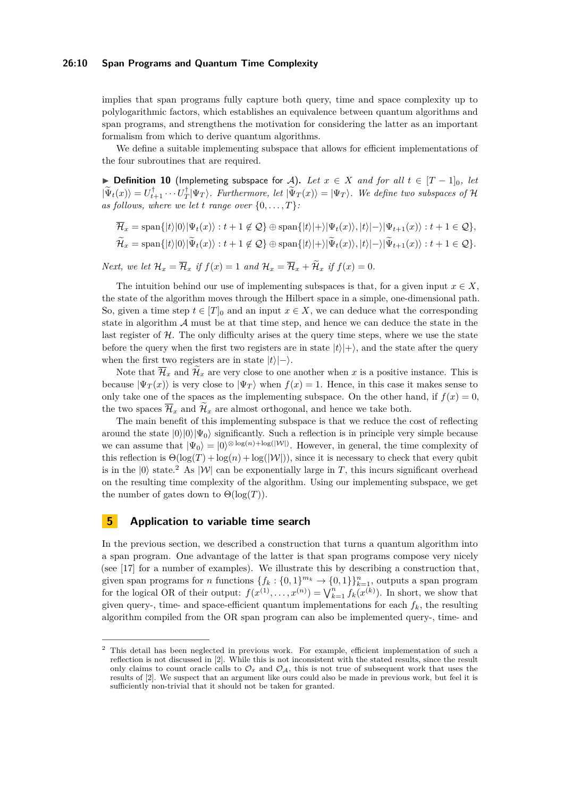#### **26:10 Span Programs and Quantum Time Complexity**

implies that span programs fully capture both query, time and space complexity up to polylogarithmic factors, which establishes an equivalence between quantum algorithms and span programs, and strengthens the motivation for considering the latter as an important formalism from which to derive quantum algorithms.

We define a suitable implementing subspace that allows for efficient implementations of the four subroutines that are required.

**▶ Definition 10** (Implemeting subspace for A). Let  $x \in X$  and for all  $t \in [T-1]_0$ , let  $|\widetilde{\Psi}_t(x)\rangle = U_{t+1}^{\dagger} \cdots U_T^{\dagger} |\Psi_T\rangle$ . Furthermore, let  $|\widetilde{\Psi}_T(x)\rangle = |\Psi_T\rangle$ . We define two subspaces of H as follows, where we let *t* range over  $\{0, \ldots, T\}$ :

$$
\overline{\mathcal{H}}_x = \text{span}\{|t\rangle|0\rangle|\Psi_t(x)\rangle : t + 1 \notin \mathcal{Q}\} \oplus \text{span}\{|t\rangle|+\rangle|\Psi_t(x)\rangle, |t\rangle|-\rangle|\Psi_{t+1}(x)\rangle : t + 1 \in \mathcal{Q}\},
$$
\n
$$
\widetilde{\mathcal{H}}_x = \text{span}\{|t\rangle|0\rangle|\widetilde{\Psi}_t(x)\rangle : t + 1 \notin \mathcal{Q}\} \oplus \text{span}\{|t\rangle|+\rangle|\widetilde{\Psi}_t(x)\rangle, |t\rangle|-\rangle|\widetilde{\Psi}_{t+1}(x)\rangle : t + 1 \in \mathcal{Q}\}.
$$

*Next, we let*  $\mathcal{H}_x = \overline{\mathcal{H}}_x$  *if*  $f(x) = 1$  *and*  $\mathcal{H}_x = \overline{\mathcal{H}}_x + \widetilde{\mathcal{H}}_x$  *if*  $f(x) = 0$ *.* 

The intuition behind our use of implementing subspaces is that, for a given input  $x \in X$ , the state of the algorithm moves through the Hilbert space in a simple, one-dimensional path. So, given a time step  $t \in [T]_0$  and an input  $x \in X$ , we can deduce what the corresponding state in algorithm  $A$  must be at that time step, and hence we can deduce the state in the last register of  $H$ . The only difficulty arises at the query time steps, where we use the state before the query when the first two registers are in state  $|t\rangle|+\rangle$ , and the state after the query when the first two registers are in state  $|t\rangle|-\rangle$ .

Note that  $\overline{\mathcal{H}}_x$  and  $\mathcal{H}_x$  are very close to one another when x is a positive instance. This is because  $|\Psi_T(x)\rangle$  is very close to  $|\Psi_T\rangle$  when  $f(x) = 1$ . Hence, in this case it makes sense to only take one of the spaces as the implementing subspace. On the other hand, if  $f(x) = 0$ , the two spaces  $\overline{\mathcal{H}}_x$  and  $\overline{\mathcal{H}}_x$  are almost orthogonal, and hence we take both.

The main benefit of this implementing subspace is that we reduce the cost of reflecting around the state  $|0\rangle|0\rangle|\Psi_0\rangle$  significantly. Such a reflection is in principle very simple because we can assume that  $|\Psi_0\rangle = |0\rangle^{\otimes \log(n) + \log(|\mathcal{W}|)}$ . However, in general, the time complexity of this reflection is  $\Theta(\log(T) + \log(n) + \log(|\mathcal{W}|))$ , since it is necessary to check that every qubit is in the  $|0\rangle$  state.<sup>[2](#page-9-0)</sup> As  $|\mathcal{W}|$  can be exponentially large in *T*, this incurs significant overhead on the resulting time complexity of the algorithm. Using our implementing subspace, we get the number of gates down to  $\Theta(\log(T))$ .

#### **5 Application to variable time search**

In the previous section, we described a construction that turns a quantum algorithm into a span program. One advantage of the latter is that span programs compose very nicely (see [\[17\]](#page-13-3) for a number of examples). We illustrate this by describing a construction that, given span programs for *n* functions  $\{f_k: \{0,1\}^{m_k} \to \{0,1\}\}_{k=1}^n$ , outputs a span program for the logical OR of their output:  $f(x^{(1)},...,x^{(n)}) = \bigvee_{k=1}^{n} f_k(x^{(k)})$ . In short, we show that given query-, time- and space-efficient quantum implementations for each  $f_k$ , the resulting algorithm compiled from the OR span program can also be implemented query-, time- and

<span id="page-9-0"></span><sup>&</sup>lt;sup>2</sup> This detail has been neglected in previous work. For example, efficient implementation of such a reflection is not discussed in [\[2\]](#page-12-10). While this is not inconsistent with the stated results, since the result only claims to count oracle calls to  $\mathcal{O}_x$  and  $\mathcal{O}_A$ , this is not true of subsequent work that uses the results of [\[2\]](#page-12-10). We suspect that an argument like ours could also be made in previous work, but feel it is sufficiently non-trivial that it should not be taken for granted.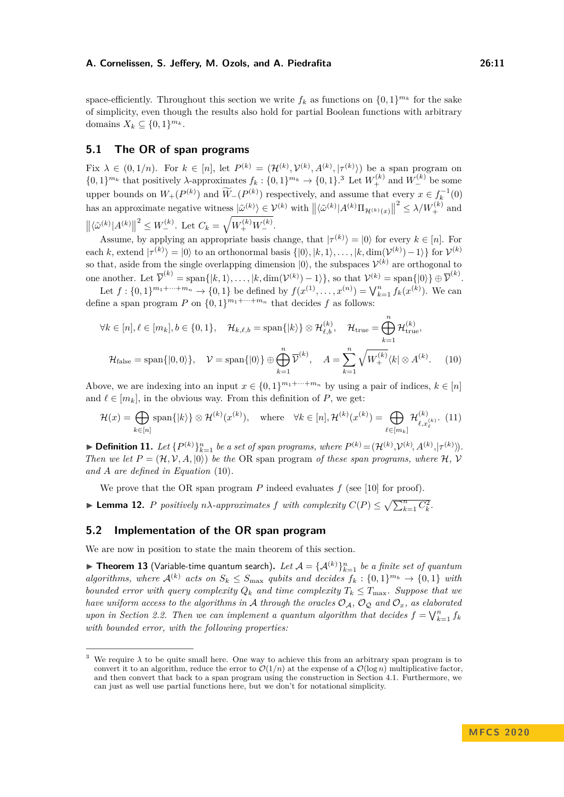space-efficiently. Throughout this section we write  $f_k$  as functions on  $\{0,1\}^{m_k}$  for the sake of simplicity, even though the results also hold for partial Boolean functions with arbitrary domains  $X_k \subseteq \{0,1\}^{m_k}$ .

# **5.1 The OR of span programs**

Fix  $\lambda \in (0,1/n)$ . For  $k \in [n]$ , let  $P^{(k)} = (\mathcal{H}^{(k)}, \mathcal{V}^{(k)}, A^{(k)}, |\tau^{(k)}\rangle)$  be a span program on  $\{0,1\}^{m_k}$  that positively  $\lambda$ -approximates  $f_k: \{0,1\}^{m_k} \to \{0,1\}^{3}$  $f_k: \{0,1\}^{m_k} \to \{0,1\}^{3}$  $f_k: \{0,1\}^{m_k} \to \{0,1\}^{3}$  Let  $W_+^{(k)}$  and  $W_-^{(k)}$  be some upper bounds on  $W_+(P^{(k)})$  and  $\widetilde{W}_-(P^{(k)})$  respectively, and assume that every  $x \in f_k^{-1}(0)$ has an approximate negative witness  $|\tilde{\omega}^{(k)}\rangle \in \mathcal{V}^{(k)}$  with  $||\langle \tilde{\omega}^{(k)}|A^{(k)}\Pi_{\mathcal{H}^{(k)}(x)}||$  $2 \leq \lambda/W_+^{(k)}$  and  $\|\langle \tilde{\omega}^{(k)} | A^{(k)} \|$  $\frac{1}{2} \leq W_{-}^{(k)}$ . Let  $C_k = \sqrt{W_{+}^{(k)} W_{-}^{(k)}}$ .

Assume, by applying an appropriate basis change, that  $|\tau^{(k)}\rangle = |0\rangle$  for every  $k \in [n]$ . For each *k*, extend  $|\tau^{(k)}\rangle = |0\rangle$  to an orthonormal basis  $\{|0\rangle, |k, 1\rangle, \ldots, |k, \dim(\mathcal{V}^{(k)}) - 1\rangle\}$  for  $\mathcal{V}^{(k)}$ so that, aside from the single overlapping dimension  $|0\rangle$ , the subspaces  $\mathcal{V}^{(k)}$  are orthogonal to one another. Let  $\overline{\mathcal{V}}^{(k)} = \text{span}\{|k, 1\rangle, \ldots, |k, \dim(\mathcal{V}^{(k)}) - 1\rangle\}$ , so that  $\mathcal{V}^{(k)} = \text{span}\{|0\rangle\} \oplus \overline{\mathcal{V}}^{(k)}$ .

Let  $f: \{0,1\}^{m_1+\cdots+m_n} \to \{0,1\}$  be defined by  $f(x^{(1)},...,x^{(n)}) = \bigvee_{k=1}^n f_k(x^{(k)})$ . We can define a span program *P* on  $\{0,1\}^{m_1+\cdots+m_n}$  that decides *f* as follows:

<span id="page-10-2"></span>
$$
\forall k \in [n], \ell \in [m_k], b \in \{0, 1\}, \quad \mathcal{H}_{k, \ell, b} = \text{span}\{|k\rangle\} \otimes \mathcal{H}_{\ell, b}^{(k)}, \quad \mathcal{H}_{\text{true}} = \bigoplus_{k=1}^n \mathcal{H}_{\text{true}}^{(k)},
$$

$$
\mathcal{H}_{\text{false}} = \text{span}\{|0, 0\rangle\}, \quad \mathcal{V} = \text{span}\{|0\rangle\} \oplus \bigoplus_{k=1}^n \overline{\mathcal{V}}^{(k)}, \quad A = \sum_{k=1}^n \sqrt{W_{+}^{(k)}} \langle k | \otimes A^{(k)}. \quad (10)
$$

Above, we are indexing into an input  $x \in \{0,1\}^{m_1+\cdots+m_n}$  by using a pair of indices,  $k \in [n]$ and  $\ell \in [m_k]$ , in the obvious way. From this definition of *P*, we get:

$$
\mathcal{H}(x) = \bigoplus_{k \in [n]} \text{span}\{|k\rangle\} \otimes \mathcal{H}^{(k)}(x^{(k)}), \quad \text{where} \quad \forall k \in [n], \mathcal{H}^{(k)}(x^{(k)}) = \bigoplus_{\ell \in [m_k]} \mathcal{H}^{(k)}_{\ell, x^{(k)}_{\ell}}. \tag{11}
$$

<span id="page-10-3"></span>► Definition 11. Let  $\{P^{(k)}\}_{k=1}^n$  be a set of span programs, where  $P^{(k)} = (\mathcal{H}^{(k)}, \mathcal{V}^{(k)}, A^{(k)}, |\tau^{(k)}\rangle)$ . *Then we let*  $P = (\mathcal{H}, \mathcal{V}, A, |0\rangle)$  *be the* OR span program *of these span programs, where*  $\mathcal{H}, \mathcal{V}$ *and A are defined in Equation* [\(10\)](#page-10-2)*.*

We prove that the OR span program *P* indeed evaluates *f* (see [\[10\]](#page-12-9) for proof).

**Example 12.** *P positively*  $n\lambda$ *-approximates*  $f$  *with complexity*  $C(P) \leq \sqrt{\sum_{k=1}^{n} C_k^2}$ .

#### **5.2 Implementation of the OR span program**

We are now in position to state the main theorem of this section.

<span id="page-10-0"></span> $\blacktriangleright$  **Theorem 13** (Variable-time quantum search). Let  $\mathcal{A} = {\{\mathcal{A}^{(k)}\}}_{k=1}^{n}$  *be a finite set of quantum algorithms, where*  $\mathcal{A}^{(k)}$  *acts on*  $S_k \leq S_{\text{max}}$  *qubits and decides*  $f_k : \{0,1\}^{m_k} \to \{0,1\}$  *with bounded error with query complexity*  $Q_k$  *and time complexity*  $T_k \leq T_{\text{max}}$ *. Suppose that we have uniform access to the algorithms in* A *through the oracles*  $O_A$ *,*  $O_Q$  *and*  $O_x$ *, as elaborated upon in Section [2.2.](#page-2-2)* Then we can implement a quantum algorithm that decides  $f = \bigvee_{k=1}^{n} f_k$ *with bounded error, with the following properties:*

<span id="page-10-1"></span><sup>&</sup>lt;sup>3</sup> We require  $\lambda$  to be quite small here. One way to achieve this from an arbitrary span program is to convert it to an algorithm, reduce the error to  $\mathcal{O}(1/n)$  at the expense of a  $\mathcal{O}(\log n)$  multiplicative factor, and then convert that back to a span program using the construction in Section [4.1.](#page-7-5) Furthermore, we can just as well use partial functions here, but we don't for notational simplicity.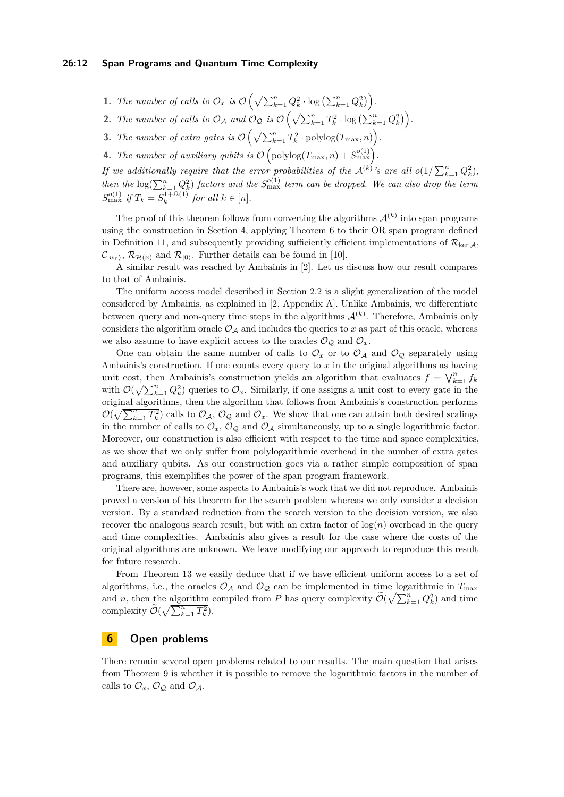- **1.** The number of calls to  $\mathcal{O}_x$  is  $\mathcal{O}\left(\sqrt{\sum_{k=1}^n Q_k^2} \cdot \log\left(\sum_{k=1}^n Q_k^2\right)\right)$ .
- 2. *The number of calls to*  $\mathcal{O}_{\mathcal{A}}$  *and*  $\mathcal{O}_{\mathcal{Q}}$  *is*  $\mathcal{O}\left(\sqrt{\sum_{k=1}^{n} T_k^2} \cdot \log\left(\sum_{k=1}^{n} Q_k^2\right)\right)$ .
- **3.** *The number of extra gates is*  $\mathcal{O}\left(\sqrt{\sum_{k=1}^{n} T_k^2} \cdot \text{polylog}(T_{\max}, n)\right)$ .
- **4.** *The number of auxiliary qubits is*  $\mathcal{O}\left(\text{polylog}(T_{\text{max}}, n) + S_{\text{max}}^{o(1)}\right)$ .

*If* we additionally require that the error probabilities of the  $\mathcal{A}^{(k)}$ 's are all  $o(1/\sum_{k=1}^{n} Q_k^2)$ , *then the*  $\log(\sum_{k=1}^{n} Q_k^2)$  *factors and the*  $S_{\text{max}}^{o(1)}$  *term can be dropped. We can also drop the term*  $S_{\text{max}}^{o(1)}$  *if*  $T_k = S_k^{1+\Omega(1)}$  $\int_{k}^{1+\Omega(1)}$  *for all*  $k \in [n]$ *.* 

The proof of this theorem follows from converting the algorithms  $\mathcal{A}^{(k)}$  into span programs using the construction in Section [4,](#page-6-2) applying Theorem [6](#page-6-0) to their OR span program defined in Definition [11,](#page-10-3) and subsequently providing sufficiently efficient implementations of  $\mathcal{R}_{\text{ker A}}$ ,  $\mathcal{C}_{|w_0\rangle}, \mathcal{R}_{\mathcal{H}(x)}$  and  $\mathcal{R}_{|0\rangle}$ . Further details can be found in [\[10\]](#page-12-9).

A similar result was reached by Ambainis in [\[2\]](#page-12-10). Let us discuss how our result compares to that of Ambainis.

The uniform access model described in Section [2.2](#page-2-2) is a slight generalization of the model considered by Ambainis, as explained in [\[2,](#page-12-10) Appendix A]. Unlike Ambainis, we differentiate between query and non-query time steps in the algorithms  $\mathcal{A}^{(k)}$ . Therefore, Ambainis only considers the algorithm oracle  $\mathcal{O}_A$  and includes the queries to x as part of this oracle, whereas we also assume to have explicit access to the oracles  $\mathcal{O}_{\mathcal{Q}}$  and  $\mathcal{O}_x$ .

One can obtain the same number of calls to  $\mathcal{O}_x$  or to  $\mathcal{O}_A$  and  $\mathcal{O}_Q$  separately using Ambainis's construction. If one counts every query to *x* in the original algorithms as having unit cost, then Ambainis's construction yields an algorithm that evaluates  $f = \bigvee_{k=1}^{n} f_k$ with  $\mathcal{O}(\sqrt{\sum_{k=1}^{n} Q_k^2})$  queries to  $\mathcal{O}_x$ . Similarly, if one assigns a unit cost to every gate in the original algorithms, then the algorithm that follows from Ambainis's construction performs  $\mathcal{O}(\sqrt{\sum_{k=1}^{n} T_k^2})$  calls to  $\mathcal{O}_\mathcal{A}, \mathcal{O}_\mathcal{Q}$  and  $\mathcal{O}_x$ . We show that one can attain both desired scalings in the number of calls to  $\mathcal{O}_x$ ,  $\mathcal{O}_\mathcal{Q}$  and  $\mathcal{O}_\mathcal{A}$  simultaneously, up to a single logarithmic factor. Moreover, our construction is also efficient with respect to the time and space complexities, as we show that we only suffer from polylogarithmic overhead in the number of extra gates and auxiliary qubits. As our construction goes via a rather simple composition of span programs, this exemplifies the power of the span program framework.

There are, however, some aspects to Ambainis's work that we did not reproduce. Ambainis proved a version of his theorem for the search problem whereas we only consider a decision version. By a standard reduction from the search version to the decision version, we also recover the analogous search result, but with an extra factor of  $log(n)$  overhead in the query and time complexities. Ambainis also gives a result for the case where the costs of the original algorithms are unknown. We leave modifying our approach to reproduce this result for future research.

From Theorem [13](#page-10-0) we easily deduce that if we have efficient uniform access to a set of algorithms, i.e., the oracles  $\mathcal{O}_\mathcal{A}$  and  $\mathcal{O}_\mathcal{Q}$  can be implemented in time logarithmic in  $T_{\text{max}}$ and *n*, then the algorithm compiled from *P* has query complexity  $\widetilde{\mathcal{O}}(\sqrt{\sum_{k=1}^{n} Q_k^2})$  and time complexity  $\widetilde{\mathcal{O}}(\sqrt{\sum_{k=1}^{n} T_k^2})$ .

# **6 Open problems**

There remain several open problems related to our results. The main question that arises from Theorem [9](#page-8-0) is whether it is possible to remove the logarithmic factors in the number of calls to  $\mathcal{O}_x$ ,  $\mathcal{O}_\mathcal{Q}$  and  $\mathcal{O}_\mathcal{A}$ .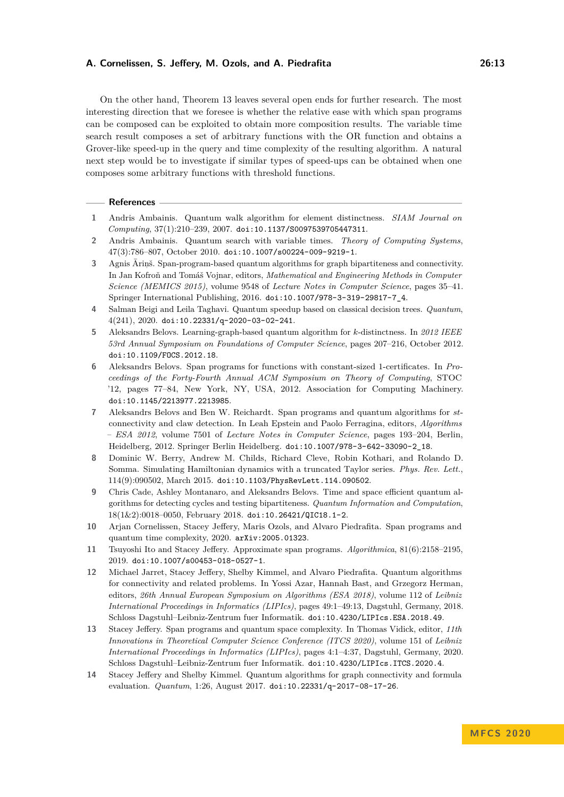On the other hand, Theorem [13](#page-10-0) leaves several open ends for further research. The most interesting direction that we foresee is whether the relative ease with which span programs can be composed can be exploited to obtain more composition results. The variable time search result composes a set of arbitrary functions with the OR function and obtains a Grover-like speed-up in the query and time complexity of the resulting algorithm. A natural next step would be to investigate if similar types of speed-ups can be obtained when one composes some arbitrary functions with threshold functions.

#### **References**

- <span id="page-12-13"></span>**1** Andris Ambainis. Quantum walk algorithm for element distinctness. *SIAM Journal on Computing*, 37(1):210–239, 2007. [doi:10.1137/S0097539705447311](https://doi.org/10.1137/S0097539705447311).
- <span id="page-12-10"></span>**2** Andris Ambainis. Quantum search with variable times. *Theory of Computing Systems*, 47(3):786–807, October 2010. [doi:10.1007/s00224-009-9219-1](https://doi.org/10.1007/s00224-009-9219-1).
- <span id="page-12-2"></span>**3** Agnis Āriņš. Span-program-based quantum algorithms for graph bipartiteness and connectivity. In Jan Kofroň and Tomáš Vojnar, editors, *Mathematical and Engineering Methods in Computer Science (MEMICS 2015)*, volume 9548 of *Lecture Notes in Computer Science*, pages 35–41. Springer International Publishing, 2016. [doi:10.1007/978-3-319-29817-7\\_4](https://doi.org/10.1007/978-3-319-29817-7_4).
- <span id="page-12-5"></span>**4** Salman Beigi and Leila Taghavi. Quantum speedup based on classical decision trees. *Quantum*, 4(241), 2020. [doi:10.22331/q-2020-03-02-241](https://doi.org/10.22331/q-2020-03-02-241).
- <span id="page-12-7"></span>**5** Aleksandrs Belovs. Learning-graph-based quantum algorithm for *k*-distinctness. In *2012 IEEE 53rd Annual Symposium on Foundations of Computer Science*, pages 207–216, October 2012. [doi:10.1109/FOCS.2012.18](https://doi.org/10.1109/FOCS.2012.18).
- <span id="page-12-4"></span>**6** Aleksandrs Belovs. Span programs for functions with constant-sized 1-certificates. In *Proceedings of the Forty-Fourth Annual ACM Symposium on Theory of Computing*, STOC '12, pages 77–84, New York, NY, USA, 2012. Association for Computing Machinery. [doi:10.1145/2213977.2213985](https://doi.org/10.1145/2213977.2213985).
- <span id="page-12-1"></span>**7** Aleksandrs Belovs and Ben W. Reichardt. Span programs and quantum algorithms for *st*connectivity and claw detection. In Leah Epstein and Paolo Ferragina, editors, *Algorithms – ESA 2012*, volume 7501 of *Lecture Notes in Computer Science*, pages 193–204, Berlin, Heidelberg, 2012. Springer Berlin Heidelberg. [doi:10.1007/978-3-642-33090-2\\_18](https://doi.org/10.1007/978-3-642-33090-2_18).
- <span id="page-12-11"></span>**8** Dominic W. Berry, Andrew M. Childs, Richard Cleve, Robin Kothari, and Rolando D. Somma. Simulating Hamiltonian dynamics with a truncated Taylor series. *Phys. Rev. Lett.*, 114(9):090502, March 2015. [doi:10.1103/PhysRevLett.114.090502](https://doi.org/10.1103/PhysRevLett.114.090502).
- <span id="page-12-3"></span>**9** Chris Cade, Ashley Montanaro, and Aleksandrs Belovs. Time and space efficient quantum algorithms for detecting cycles and testing bipartiteness. *Quantum Information and Computation*, 18(1&2):0018–0050, February 2018. [doi:10.26421/QIC18.1-2](https://doi.org/10.26421/QIC18.1-2).
- <span id="page-12-9"></span>**10** Arjan Cornelissen, Stacey Jeffery, Maris Ozols, and Alvaro Piedrafita. Span programs and quantum time complexity, 2020. [arXiv:2005.01323](http://arxiv.org/abs/2005.01323).
- <span id="page-12-12"></span>**11** Tsuyoshi Ito and Stacey Jeffery. Approximate span programs. *Algorithmica*, 81(6):2158–2195, 2019. [doi:10.1007/s00453-018-0527-1](https://doi.org/10.1007/s00453-018-0527-1).
- <span id="page-12-6"></span>**12** Michael Jarret, Stacey Jeffery, Shelby Kimmel, and Alvaro Piedrafita. Quantum algorithms for connectivity and related problems. In Yossi Azar, Hannah Bast, and Grzegorz Herman, editors, *26th Annual European Symposium on Algorithms (ESA 2018)*, volume 112 of *Leibniz International Proceedings in Informatics (LIPIcs)*, pages 49:1–49:13, Dagstuhl, Germany, 2018. Schloss Dagstuhl–Leibniz-Zentrum fuer Informatik. [doi:10.4230/LIPIcs.ESA.2018.49](https://doi.org/10.4230/LIPIcs.ESA.2018.49).
- <span id="page-12-0"></span>**13** Stacey Jeffery. Span programs and quantum space complexity. In Thomas Vidick, editor, *11th Innovations in Theoretical Computer Science Conference (ITCS 2020)*, volume 151 of *Leibniz International Proceedings in Informatics (LIPIcs)*, pages 4:1–4:37, Dagstuhl, Germany, 2020. Schloss Dagstuhl–Leibniz-Zentrum fuer Informatik. [doi:10.4230/LIPIcs.ITCS.2020.4](https://doi.org/10.4230/LIPIcs.ITCS.2020.4).
- <span id="page-12-8"></span>**14** Stacey Jeffery and Shelby Kimmel. Quantum algorithms for graph connectivity and formula evaluation. *Quantum*, 1:26, August 2017. [doi:10.22331/q-2017-08-17-26](https://doi.org/10.22331/q-2017-08-17-26).